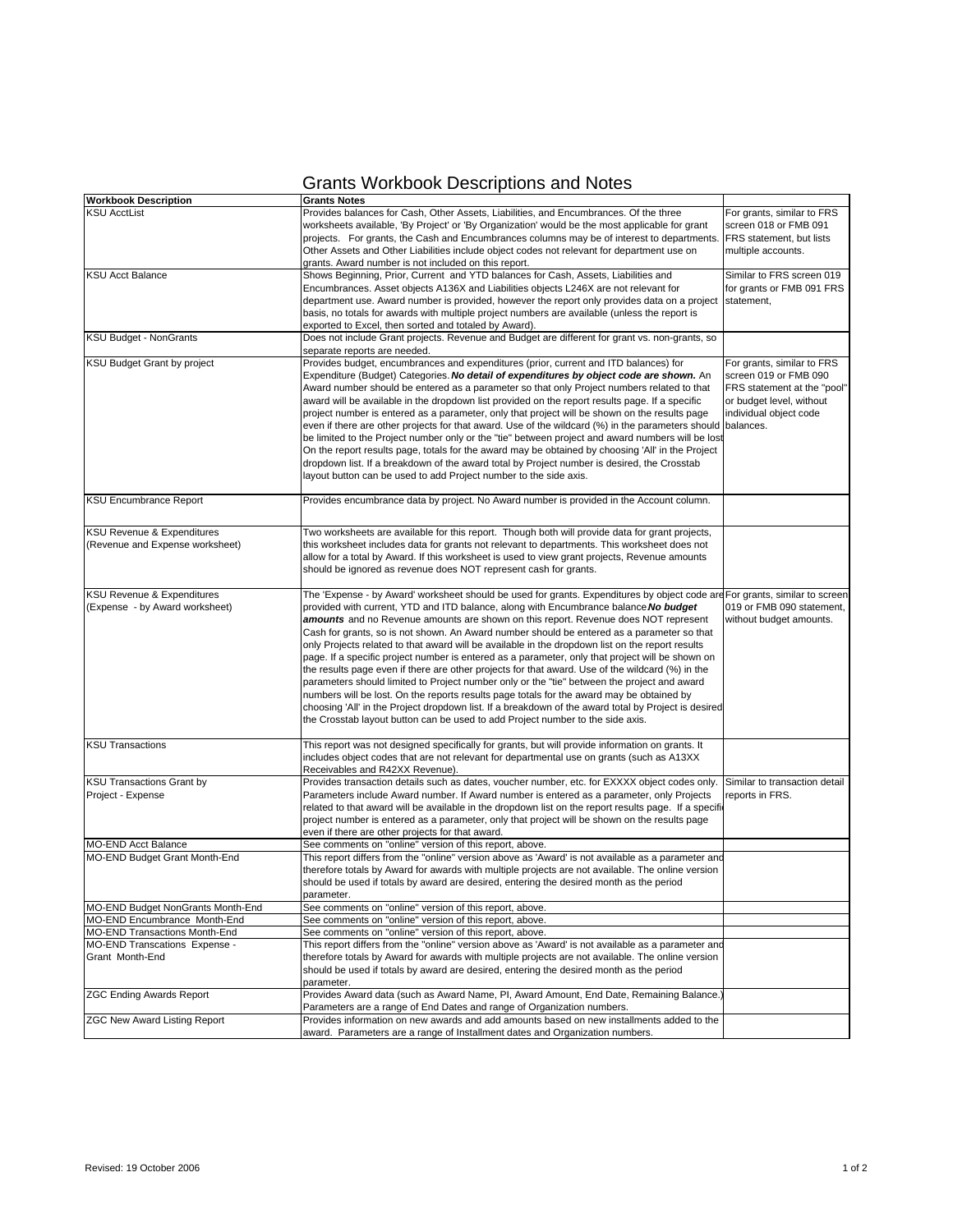## Grants Workbook Descriptions and Notes

| <b>Workbook Description</b>                                              | <b>Grants Notes</b>                                                                                                                                                                                                                                                                                                                                                                                                                                                                                                                                                                                                                                                                                                                                                                                                                                                                                                                                                                                                                                                                                         |                                                                                                                                          |
|--------------------------------------------------------------------------|-------------------------------------------------------------------------------------------------------------------------------------------------------------------------------------------------------------------------------------------------------------------------------------------------------------------------------------------------------------------------------------------------------------------------------------------------------------------------------------------------------------------------------------------------------------------------------------------------------------------------------------------------------------------------------------------------------------------------------------------------------------------------------------------------------------------------------------------------------------------------------------------------------------------------------------------------------------------------------------------------------------------------------------------------------------------------------------------------------------|------------------------------------------------------------------------------------------------------------------------------------------|
| <b>KSU AcctList</b>                                                      | Provides balances for Cash, Other Assets, Liabilities, and Encumbrances. Of the three<br>worksheets available, 'By Project' or 'By Organization' would be the most applicable for grant<br>projects. For grants, the Cash and Encumbrances columns may be of interest to departments.<br>Other Assets and Other Liabilities include object codes not relevant for department use on<br>grants. Award number is not included on this report.                                                                                                                                                                                                                                                                                                                                                                                                                                                                                                                                                                                                                                                                 | For grants, similar to FRS<br>screen 018 or FMB 091<br>FRS statement, but lists<br>multiple accounts.                                    |
| <b>KSU Acct Balance</b>                                                  | Shows Beginning, Prior, Current and YTD balances for Cash, Assets, Liabilities and<br>Encumbrances. Asset objects A136X and Liabilities objects L246X are not relevant for<br>department use. Award number is provided, however the report only provides data on a project<br>basis, no totals for awards with multiple project numbers are available (unless the report is<br>exported to Excel, then sorted and totaled by Award).                                                                                                                                                                                                                                                                                                                                                                                                                                                                                                                                                                                                                                                                        | Similar to FRS screen 019<br>for grants or FMB 091 FRS<br>statement,                                                                     |
| <b>KSU Budget - NonGrants</b>                                            | Does not include Grant projects. Revenue and Budget are different for grant vs. non-grants, so<br>separate reports are needed.                                                                                                                                                                                                                                                                                                                                                                                                                                                                                                                                                                                                                                                                                                                                                                                                                                                                                                                                                                              |                                                                                                                                          |
| KSU Budget Grant by project                                              | Provides budget, encumbrances and expenditures (prior, current and ITD balances) for<br>Expenditure (Budget) Categories. No detail of expenditures by object code are shown. An<br>Award number should be entered as a parameter so that only Project numbers related to that<br>award will be available in the dropdown list provided on the report results page. If a specific<br>project number is entered as a parameter, only that project will be shown on the results page<br>even if there are other projects for that award. Use of the wildcard (%) in the parameters should balances.<br>be limited to the Project number only or the "tie" between project and award numbers will be lost<br>On the report results page, totals for the award may be obtained by choosing 'All' in the Project<br>dropdown list. If a breakdown of the award total by Project number is desired, the Crosstab<br>layout button can be used to add Project number to the side axis.                                                                                                                              | For grants, similar to FRS<br>screen 019 or FMB 090<br>FRS statement at the "pool"<br>or budget level, without<br>individual object code |
| <b>KSU Encumbrance Report</b>                                            | Provides encumbrance data by project. No Award number is provided in the Account column.                                                                                                                                                                                                                                                                                                                                                                                                                                                                                                                                                                                                                                                                                                                                                                                                                                                                                                                                                                                                                    |                                                                                                                                          |
| <b>KSU Revenue &amp; Expenditures</b><br>(Revenue and Expense worksheet) | Two worksheets are available for this report. Though both will provide data for grant projects,<br>this worksheet includes data for grants not relevant to departments. This worksheet does not<br>allow for a total by Award. If this worksheet is used to view grant projects, Revenue amounts<br>should be ignored as revenue does NOT represent cash for grants.                                                                                                                                                                                                                                                                                                                                                                                                                                                                                                                                                                                                                                                                                                                                        |                                                                                                                                          |
| KSU Revenue & Expenditures<br>(Expense - by Award worksheet)             | The 'Expense - by Award' worksheet should be used for grants. Expenditures by object code are For grants, similar to screen<br>provided with current, YTD and ITD balance, along with Encumbrance balance. No budget<br>amounts and no Revenue amounts are shown on this report. Revenue does NOT represent<br>Cash for grants, so is not shown. An Award number should be entered as a parameter so that<br>only Projects related to that award will be available in the dropdown list on the report results<br>page. If a specific project number is entered as a parameter, only that project will be shown on<br>the results page even if there are other projects for that award. Use of the wildcard (%) in the<br>parameters should limited to Project number only or the "tie" between the project and award<br>numbers will be lost. On the reports results page totals for the award may be obtained by<br>choosing 'All' in the Project dropdown list. If a breakdown of the award total by Project is desired<br>the Crosstab layout button can be used to add Project number to the side axis. | 019 or FMB 090 statement,<br>without budget amounts.                                                                                     |
| <b>KSU Transactions</b>                                                  | This report was not designed specifically for grants, but will provide information on grants. It<br>includes object codes that are not relevant for departmental use on grants (such as A13XX<br>Receivables and R42XX Revenue).                                                                                                                                                                                                                                                                                                                                                                                                                                                                                                                                                                                                                                                                                                                                                                                                                                                                            |                                                                                                                                          |
| <b>KSU Transactions Grant by</b><br>Project - Expense                    | Provides transaction details such as dates, voucher number, etc. for EXXXX object codes only.<br>Parameters include Award number. If Award number is entered as a parameter, only Projects<br>related to that award will be available in the dropdown list on the report results page. If a specific<br>project number is entered as a parameter, only that project will be shown on the results page<br>even if there are other projects for that award.                                                                                                                                                                                                                                                                                                                                                                                                                                                                                                                                                                                                                                                   | Similar to transaction detail<br>reports in FRS.                                                                                         |
| <b>MO-END Acct Balance</b>                                               | See comments on "online" version of this report, above.                                                                                                                                                                                                                                                                                                                                                                                                                                                                                                                                                                                                                                                                                                                                                                                                                                                                                                                                                                                                                                                     |                                                                                                                                          |
| MO-END Budget Grant Month-End                                            | This report differs from the "online" version above as 'Award' is not available as a parameter and<br>therefore totals by Award for awards with multiple projects are not available. The online version<br>should be used if totals by award are desired, entering the desired month as the period<br>parameter.                                                                                                                                                                                                                                                                                                                                                                                                                                                                                                                                                                                                                                                                                                                                                                                            |                                                                                                                                          |
| MO-END Budget NonGrants Month-End                                        | See comments on "online" version of this report, above.                                                                                                                                                                                                                                                                                                                                                                                                                                                                                                                                                                                                                                                                                                                                                                                                                                                                                                                                                                                                                                                     |                                                                                                                                          |
| MO-END Encumbrance Month-End                                             | See comments on "online" version of this report, above.                                                                                                                                                                                                                                                                                                                                                                                                                                                                                                                                                                                                                                                                                                                                                                                                                                                                                                                                                                                                                                                     |                                                                                                                                          |
| <b>MO-END Transactions Month-End</b>                                     | See comments on "online" version of this report, above.                                                                                                                                                                                                                                                                                                                                                                                                                                                                                                                                                                                                                                                                                                                                                                                                                                                                                                                                                                                                                                                     |                                                                                                                                          |
| MO-END Transcations Expense -<br>Grant Month-End                         | This report differs from the "online" version above as 'Award' is not available as a parameter and<br>therefore totals by Award for awards with multiple projects are not available. The online version<br>should be used if totals by award are desired, entering the desired month as the period<br>parameter.                                                                                                                                                                                                                                                                                                                                                                                                                                                                                                                                                                                                                                                                                                                                                                                            |                                                                                                                                          |
| <b>ZGC Ending Awards Report</b>                                          | Provides Award data (such as Award Name, PI, Award Amount, End Date, Remaining Balance.)<br>Parameters are a range of End Dates and range of Organization numbers.                                                                                                                                                                                                                                                                                                                                                                                                                                                                                                                                                                                                                                                                                                                                                                                                                                                                                                                                          |                                                                                                                                          |
| <b>ZGC New Award Listing Report</b>                                      | Provides information on new awards and add amounts based on new installments added to the<br>award. Parameters are a range of Installment dates and Organization numbers.                                                                                                                                                                                                                                                                                                                                                                                                                                                                                                                                                                                                                                                                                                                                                                                                                                                                                                                                   |                                                                                                                                          |